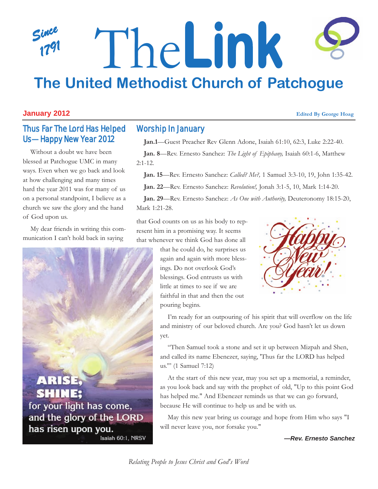## *Since 1791* The**Link The United Methodist Church of Patchogue**

#### **January 2012 Edited By George Hoag**

## Thus Far The Lord Has Helped Us—Happy New Year 2012

Without a doubt we have been blessed at Patchogue UMC in many ways. Even when we go back and look at how challenging and many times hard the year 2011 was for many of us on a personal standpoint, I believe as a church we saw the glory and the hand of God upon us.

My dear friends in writing this communication I can't hold back in saying



#### Worship In January

**Jan.1**—Guest Preacher Rev Glenn Adone, Isaiah 61:10, 62:3, Luke 2:22-40.

**Jan. 8**—Rev. Ernesto Sanchez: *The Light of Epiphany,* Isaiah 60:1-6, Matthew  $2:1-12.$ 

**Jan. 15**—Rev. Ernesto Sanchez: *Called? Me?,* 1 Samuel 3:3-10, 19, John 1:35-42.

**Jan. 22**—Rev. Ernesto Sanchez: *Revolution!,* Jonah 3:1-5, 10, Mark 1:14-20.

**Jan. 29**—Rev. Ernesto Sanchez: *As One with Authority,* Deuteronomy 18:15-20, Mark 1:21-28.

that God counts on us as his body to represent him in a promising way. It seems that whenever we think God has done all

> that he could do, he surprises us again and again with more blessings. Do not overlook God's blessings. God entrusts us with little at times to see if we are faithful in that and then the out pouring begins.



I'm ready for an outpouring of his spirit that will overflow on the life and ministry of our beloved church. Are you? God hasn't let us down yet.

"Then Samuel took a stone and set it up between Mizpah and Shen, and called its name Ebenezer, saying, 'Thus far the LORD has helped us.'" (1 Samuel 7:12)

At the start of this new year, may you set up a memorial, a reminder, as you look back and say with the prophet of old, "Up to this point God has helped me." And Ebenezer reminds us that we can go forward, because He will continue to help us and be with us.

May this new year bring us courage and hope from Him who says "I will never leave you, nor forsake you."

*—Rev. Ernesto Sanchez*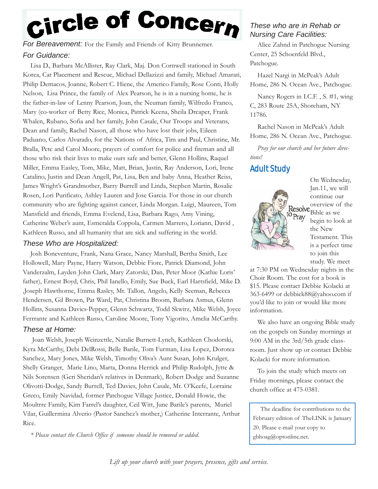# <sub>Circle</sub> of Concern

For Bereavement: For the Family and Friends of Kitty Brunnemer. *For Guidance:* 

Lisa D., Barbara McAllister, Ray Clark, Maj. Don Cornwell stationed in South Korea, Cat Placement and Rescue, Michael Dellazizzi and family, Michael Amarati, Philip Demacos, Joanne, Robert C. Hiene, the Americo Family, Rose Conti, Holly Nelson, Lisa Prince, the family of Alex Pearson, he is in a nursing home, he is the father-in-law of Lenny Pearson, Joan, the Neuman family, Wilfredo Franco, Mary (co-worker of Betty Rice, Monica, Patrick Keena, Sheila Dreaper, Frank Whalen, Rubano, Sofia and her family, John Casale, Our Troops and Veterans, Dean and family, Rachel Nason, all those who have lost their jobs, Eileen Paduano, Carlos Alvarado, for the Nations of Africa, Tim and Paul, Christine, Mr. Bralla, Pete and Carol Moore, prayers of comfort for police and fireman and all those who risk their lives to make ours safe and better, Glenn Hollins, Raquel Miller, Emma Easley, Tom, Mike, Matt, Brian, Justin, Ray Anderson, Lori, Irene Catalino, Justin and Dean Angell, Pat, Lisa, Ben and baby Anna, Heather Reiss, James Wright's Grandmother, Barry Burrell and Linda, Stephen Martin, Rosalie Rosen, Lori Purificato, Ashley Lauren and Jose Garcia. For those in our church community who are fighting against cancer, Linda Morgan. Luigi, Maureen, Tom Mansfield and friends, Emma Evelend, Lisa, Barbara Rago, Amy Vining, Catherine Weber's aunt, Esmeralda Coppola, Carmen Marrero, Loriann, David , Kathleen Russo, and all humanity that are sick and suffering in the world.

#### *These Who are Hospitalized:*

Josh Boneventure, Frank, Nana Grace, Nancy Marshall, Bertha Smith, Lee Hollowell, Mary Payne, Harry Watson, Debbie Fiore, Patrick Diamond, John Vanderzalm, Layden John Clark, Mary Zatorski, Dan, Peter Moor (Kathie Loris' father), Ernest Boyd, Chris, Phil Ianello, Emily, Sue Buck, Earl Hartsfield, Mike D. ,Joseph Hawthorne, Emma Rasley, Mr. Tallon, Angelo, Kelly Seeman, Rebecca Hendersen, Gil Brown, Pat Ward, Pat, Christina Broom, Barbara Asmus, Glenn Hollins, Susanna Davies-Pepper, Glenn Schwartz, Todd Skwirz, Mike Welsh, Joyce Ferrrante and Kathleen Russo, Caroline Moore, Tony Vigorito, Amelia McCarthy.

#### *These at Home:*

Joan Welsh, Joseph Weinzettle, Natalie Burnett-Lynch, Kathleen Chodorski, Kyra McCarthy, Debi DelRossi, Belle Barile, Tom Furman, Lisa Lopez, Dorotea Sanchez, Mary Jones, Mike Welsh, Timothy Oliva's Aunt Susan, John Krulger, Shelly Granger, Marie Lino, Marta, Donna Herrick and Philip Rudolph, Jytte & Nils Sorensen (Geri Sheridan's relatives in Denmark), Robert Dodge and Suzanne Olivotti-Dodge, Sandy Burrell, Ted Davies, John Casale, Mr. O'Keefe, Lorraine Greco, Emily Navidad, former Patchogue Village Justice, Donald Howie, the Moultrre Family, Kim Farrel's daughter, Ceil Witt, June Barile's parents, Muriel Vilar, Guillermina Alverio (Pastor Sanchez's mother,) Catherine Interrante, Arthur Rice.

*\* Please contact the Church Office if someone should be removed or added.*

#### *These who are in Rehab or Nursing Care Facilities:*

Alice Zahnd in Patchogue Nursing Center, 25 Schoenfeld Blvd., Patchogue.

Hazel Nargi in McPeak's Adult Home, 286 N. Ocean Ave., Patchogue.

Nancy Rogers in I.C.F. , S. #1, wing C, 283 Route 25A, Shoreham, NY 11786.

Rachel Nason in McPeak's Adult Home, 286 N. Ocean Ave., Patchogue.

*Pray for our church and her future directions!*

### Adult Study



On Wednesday, Jan.11, we will continue our overview of the Bible as we begin to look at the New Testament. This is a perfect time to join this study. We meet

at 7:30 PM on Wednesday nights in the Choir Room. The cost for a book is \$15. Please contact Debbie Kolacki at 363-6499 or debbiek88@yahoo.com if you'd like to join or would like more information.

We also have an ongoing Bible study on the gospels on Sunday mornings at 9:00 AM in the 3rd/5th grade classroom. Just show up or contact Debbie Kolacki for more information.

To join the study which meets on Friday mornings, please contact the church office at 475-0381.

The deadline for contributions to the February edition of TheLINK is January 20. Please e-mail your copy to gbhoag@optonline.net.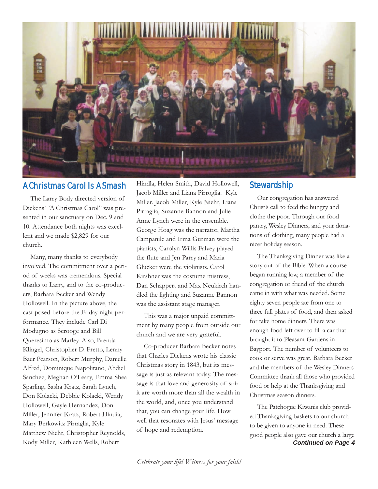

#### A Christmas Carol Is A Smash

The Larry Body directed version of Dickens' "A Christmas Carol" was presented in our sanctuary on Dec. 9 and 10. Attendance both nights was excellent and we made \$2,829 for our church.

Many, many thanks to everybody involved. The commitment over a period of weeks was tremendous. Special thanks to Larry, and to the co-producers, Barbara Becker and Wendy Hollowell. In the picture above, the cast posed before the Friday night performance. They include Carl Di Modugno as Scrooge and Bill Queresimo as Marley. Also, Brenda Klingel, Christopher D. Fretto, Lenny Baer Pearson, Robert Murphy, Danielle Alfred, Dominique Napolitano, Abdiel Sanchez, Meghan O'Leary, Emma Shea Sparling, Sasha Kratz, Sarah Lynch, Don Kolacki, Debbie Kolacki, Wendy Hollowell, Gayle Hernandez, Don Miller, Jennifer Kratz, Robert Hindia, Mary Berkowitz Pirraglia, Kyle Matthew Niehr, Christopher Reynolds, Kody Miller, Kathleen Wells, Robert

Hindla, Helen Smith, David Hollowell, Jacob Miller and Liana Pirroglia. Kyle Miller. Jacob Miller, Kyle Niehr, Liana Pirraglia, Suzanne Bannon and Julie Anne Lynch were in the ensemble. George Hoag was the narrator, Martha Campanile and Irma Gurman were the pianists, Carolyn Willis Falvey played the flute and Jen Parry and Maria Glucker were the violinists. Carol Kirshner was the costume mistress, Dan Schappert and Max Neukirch handled the lighting and Suzanne Bannon was the assistant stage manager.

This was a major unpaid committment by many people from outside our church and we are very grateful.

Co-producer Barbara Becker notes that Charles Dickens wrote his classic Christmas story in 1843, but its message is just as relevant today. The message is that love and generosity of spirit are worth more than all the wealth in the world, and, once you understand that, you can change your life. How well that resonates with Jesus' message of hope and redemption.

#### **Stewardship**

Our congregation has answered Christ's call to feed the hungry and clothe the poor. Through our food pantry, Wesley Dinners, and your donations of clothing, many people had a nicer holiday season.

The Thanksgiving Dinner was like a story out of the Bible. When a course began running low, a member of the congregation or friend of the church came in with what was needed. Some eighty seven people ate from one to three full plates of food, and then asked for take home dinners. There was enough food left over to fill a car that brought it to Pleasant Gardens in Bayport. The number of volunteers to cook or serve was great. Barbara Becker and the members of the Wesley Dinners Committee thank all those who provided food or help at the Thanksgiving and Christmas season dinners.

*Continued on Page 4* The Patchogue Kiwanis club provided Thanksgiving baskets to our church to be given to anyone in need. These good people also gave our church a large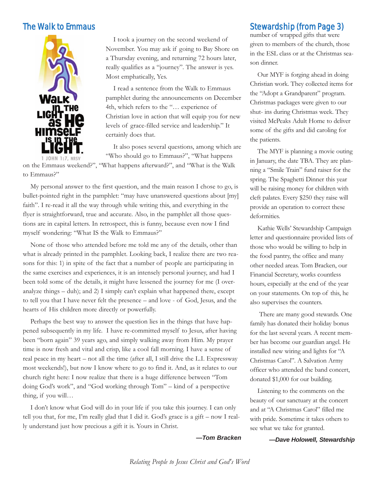

I took a journey on the second weekend of November. You may ask if going to Bay Shore on a Thursday evening, and returning 72 hours later, really qualifies as a "journey". The answer is yes. Most emphatically, Yes.

I read a sentence from the Walk to Emmaus pamphlet during the announcements on December 4th, which refers to the "… experience of Christian love in action that will equip you for new levels of grace-filled service and leadership." It certainly does that.

It also poses several questions, among which are "Who should go to Emmaus?", "What happens

on the Emmaus weekend?", "What happens afterward?", and "What is the Walk to Emmaus?"

My personal answer to the first question, and the main reason I chose to go, is bullet-pointed right in the pamphlet: "may have unanswered questions about [my] faith". I re-read it all the way through while writing this, and everything in the flyer is straightforward, true and accurate. Also, in the pamphlet all those questions are in capital letters. In retrospect, this is funny, because even now I find myself wondering: "What IS the Walk to Emmaus?"

None of those who attended before me told me any of the details, other than what is already printed in the pamphlet. Looking back, I realize there are two reasons for this: 1) in spite of the fact that a number of people are participating in the same exercises and experiences, it is an intensely personal journey, and had I been told some of the details, it might have lessened the journey for me (I overanalyze things – duh); and 2) I simply can't explain what happened there, except to tell you that I have never felt the presence – and love - of God, Jesus, and the hearts of His children more directly or powerfully.

Perhaps the best way to answer the question lies in the things that have happened subsequently in my life. I have re-committed myself to Jesus, after having been "born again" 39 years ago, and simply walking away from Him. My prayer time is now fresh and vital and crisp, like a cool fall morning. I have a sense of real peace in my heart – not all the time (after all, I still drive the L.I. Expressway most weekends!), but now I know where to go to find it. And, as it relates to our church right here: I now realize that there is a huge difference between "Tom doing God's work", and "God working through Tom" – kind of a perspective thing, if you will…

I don't know what God will do in your life if you take this journey. I can only tell you that, for me, I'm really glad that I did it. God's grace is a gift – now I really understand just how precious a gift it is. Yours in Christ.

*—Tom Bracken*

The Walk to Emmaus **Stewardship (from Page 3)** 

number of wrapped gifts that were given to members of the church, those in the ESL class or at the Christmas season dinner.

Our MYF is forging ahead in doing Christian work. They collected items for the "Adopt a Grandparent" program. Christmas packages were given to our shut- ins during Christmas week. They visited McPeaks Adult Home to deliver some of the gifts and did caroling for the patients.

The MYF is planning a movie outing in January, the date TBA. They are planning a "Smile Train" fund raiser for the spring. The Spaghetti Dinner this year will be raising money for children with cleft palates. Every \$250 they raise will provide an operation to correct these deformities.

Kathie Wells' Stewardship Campaign letter and questionnaire provided lists of those who would be willing to help in the food pantry, the office and many other needed areas. Tom Bracken, our Financial Secretary, works countless hours, especially at the end of the year on your statements. On top of this, he also supervises the counters.

There are many good stewards. One family has donated their holiday bonus for the last several years. A recent member has become our guardian angel. He installed new wiring and lights for "A Christmas Carol". A Salvation Army officer who attended the band concert, donated \$1,000 for our building.

Listening to the comments on the beauty of our sanctuary at the concert and at "A Christmas Carol" filled me with pride. Sometime it takes others to see what we take for granted.

*—Dave Holowell, Stewardship*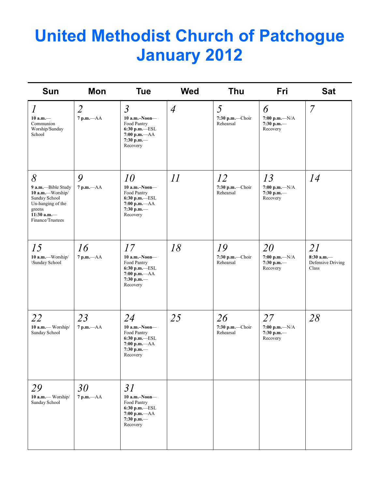# **United Methodist Church of Patchogue January 2012**

| <b>Sun</b>                                                                                                                         | Mon                            | <b>Tue</b>                                                                                                     | <b>Wed</b>     | Thu                                 | Fri                                                | <b>Sat</b>                                       |
|------------------------------------------------------------------------------------------------------------------------------------|--------------------------------|----------------------------------------------------------------------------------------------------------------|----------------|-------------------------------------|----------------------------------------------------|--------------------------------------------------|
| $\boldsymbol{l}$<br>$10$ a.m. $-$<br>Communion<br>Worship/Sunday<br>School                                                         | $\overline{2}$<br>$7 p.m. -AA$ | $\mathfrak{Z}$<br>$10$ a.m.-Noon-<br>Food Pantry<br>6:30 p.m.-ESL<br>$7:00 p.m. -AA$<br>7:30 p.m.-<br>Recovery | $\overline{4}$ | 5<br>$7:30$ p.m.-Choir<br>Rehearsal | 6<br>7:00 p.m.— $N/A$<br>7:30 p.m. $-$<br>Recovery | $\overline{7}$                                   |
| 8<br>9 a.m.--Bible Study<br>10 a.m.-Worship/<br>Sunday School<br>Un-hanging of the<br>greens<br>11:30 a.m. $-$<br>Finance/Trustees | 9<br>$7 p.m. -AA$              | 10<br>$10$ a.m.-Noon-<br>Food Pantry<br>6:30 p.m.-ESL<br>$7:00 p.m. -AA$<br>7:30 p.m.-<br>Recovery             | 11             | 12<br>7:30 p.m.-Choir<br>Rehearsal  | 13<br>$7:00 p.m. -N/A$<br>7:30 p.m.-<br>Recovery   | 14                                               |
| 15<br>10 a.m.-Worship/<br>\Sunday School                                                                                           | 16<br>$7 p.m. -AA$             | 17<br>$10$ a.m.-Noon-<br>Food Pantry<br>6:30 p.m.-ESL<br>$7:00$ p.m. $-AA$<br>7:30 p.m.-<br>Recovery           | 18             | 19<br>7:30 p.m.-Choir<br>Rehearsal  | 20<br>7:00 p.m.— $N/A$<br>7:30 p.m.-<br>Recovery   | 21<br>$8:30$ a.m.-<br>Defensive Driving<br>Class |
| 22<br>10 a.m.- Worship/<br>Sunday School                                                                                           | 23<br>7 p.m.-- AA              | 24<br>10 a.m.-Noon-<br>Food Pantry<br>6:30 p.m.-ESL<br>$7:00 p.m. -AA$<br>7:30 p.m. $-$<br>Recovery            | 25             | 26<br>7:30 p.m.-Choir<br>Rehearsal  | 27<br>7:00 p.m.— $N/A$<br>7:30 p.m.-<br>Recovery   | 28                                               |
| 29<br>10 a.m.- Worship/<br>Sunday School                                                                                           | 30<br>7 p.m.-- AA              | 31<br>$10$ a.m.-Noon-<br>Food Pantry<br>$6:30$ p.m. $-$ ESL<br>$7:00 p.m. -AA$<br>$7:30$ p.m.—<br>Recovery     |                |                                     |                                                    |                                                  |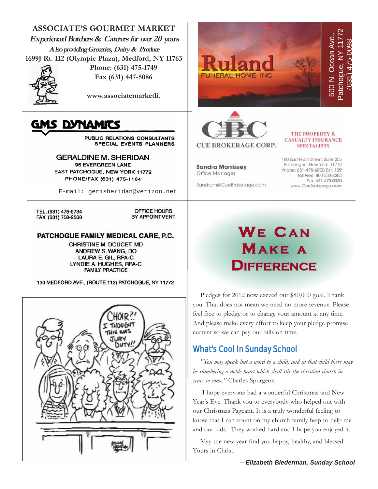

May the new year find you happy, healthy, and blessed. Yours in Christ.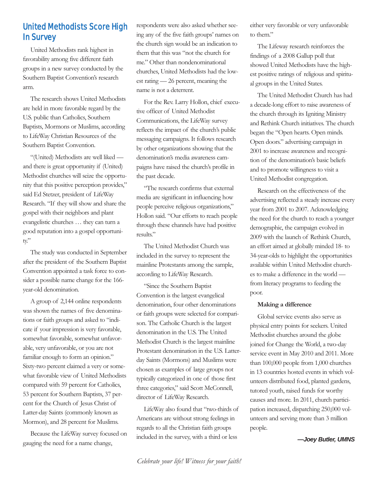### United Methodists Score High In Survey

United Methodists rank highest in favorability among five different faith groups in a new survey conducted by the Southern Baptist Convention's research arm.

The research shows United Methodists are held in more favorable regard by the U.S. public than Catholics, Southern Baptists, Mormons or Muslims, according to LifeWay Christian Resources of the Southern Baptist Convention.

"(United) Methodists are well liked and there is great opportunity if (United) Methodist churches will seize the opportunity that this positive perception provides," said Ed Stetzer, president of LifeWay Research. "If they will show and share the gospel with their neighbors and plant evangelistic churches … they can turn a good reputation into a gospel opportunity."

The study was conducted in September after the president of the Southern Baptist Convention appointed a task force to consider a possible name change for the 166 year-old denomination.

A group of 2,144 online respondents was shown the names of five denominations or faith groups and asked to "indicate if your impression is very favorable, somewhat favorable, somewhat unfavorable, very unfavorable, or you are not familiar enough to form an opinion." Sixty-two percent claimed a very or somewhat favorable view of United Methodists compared with 59 percent for Catholics, 53 percent for Southern Baptists, 37 percent for the Church of Jesus Christ of Latter-day Saints (commonly known as Mormon), and 28 percent for Muslims.

Because the LifeWay survey focused on gauging the need for a name change,

respondents were also asked whether seeing any of the five faith groups' names on the church sign would be an indication to them that this was "not the church for me." Other than nondenominational churches, United Methodists had the lowest rating — 26 percent, meaning the name is not a deterrent.

For the Rev. Larry Hollon, chief executive officer of United Methodist Communications, the LifeWay survey reflects the impact of the church's public messaging campaigns. It follows research by other organizations showing that the denomination's media awareness campaigns have raised the church's profile in the past decade.

"The research confirms that external media are significant in influencing how people perceive religious organizations," Hollon said. "Our efforts to reach people through these channels have had positive results."

The United Methodist Church was included in the survey to represent the mainline Protestants among the sample, according to LifeWay Research.

"Since the Southern Baptist Convention is the largest evangelical denomination, four other denominations or faith groups were selected for comparison. The Catholic Church is the largest denomination in the U.S. The United Methodist Church is the largest mainline Protestant denomination in the U.S. Latterday Saints (Mormons) and Muslims were chosen as examples of large groups not typically categorized in one of those first three categories," said Scott McConnell, director of LifeWay Research.

LifeWay also found that "two-thirds of Americans are without strong feelings in regards to all the Christian faith groups included in the survey, with a third or less

either very favorable or very unfavorable to them."

The Lifeway research reinforces the findings of a 2008 Gallup poll that showed United Methodists have the highest positive ratings of religious and spiritual groups in the United States.

The United Methodist Church has had a decade-long effort to raise awareness of the church through its Igniting Ministry and Rethink Church initiatives. The church began the "Open hearts. Open minds. Open doors." advertising campaign in 2001 to increase awareness and recognition of the denomination's basic beliefs and to promote willingness to visit a United Methodist congregation.

Research on the effectiveness of the advertising reflected a steady increase every year from 2001 to 2007. Acknowledging the need for the church to reach a younger demographic, the campaign evolved in 2009 with the launch of Rethink Church, an effort aimed at globally minded 18- to 34-year-olds to highlight the opportunities available within United Methodist churches to make a difference in the world from literacy programs to feeding the poor.

#### **Making a difference**

Global service events also serve as physical entry points for seekers. United Methodist churches around the globe joined for Change the World, a two-day service event in May 2010 and 2011. More than 100,000 people from 1,000 churches in 13 countries hosted events in which volunteers distributed food, planted gardens, tutored youth, raised funds for worthy causes and more. In 2011, church participation increased, dispatching 250,000 volunteers and serving more than 3 million people.

*—Joey Butler, UMNS*